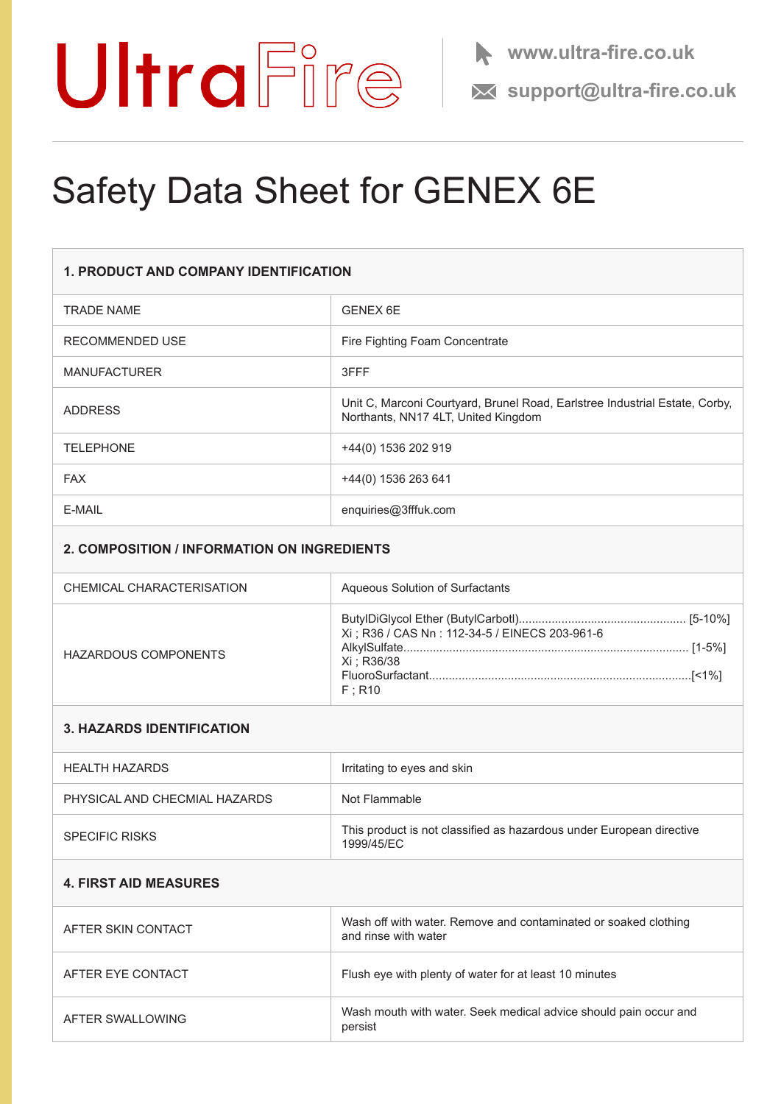

**support@ultra-fire.co.uk**

## Safety Data Sheet for GENEX 6E

| <b>1. PRODUCT AND COMPANY IDENTIFICATION</b> |                                                                                                                    |
|----------------------------------------------|--------------------------------------------------------------------------------------------------------------------|
| <b>TRADE NAME</b>                            | <b>GENEX 6E</b>                                                                                                    |
| RECOMMENDED USE                              | Fire Fighting Foam Concentrate                                                                                     |
| <b>MANUFACTURER</b>                          | 3FFF                                                                                                               |
| <b>ADDRESS</b>                               | Unit C, Marconi Courtyard, Brunel Road, Earlstree Industrial Estate, Corby,<br>Northants, NN17 4LT, United Kingdom |
| <b>TELEPHONE</b>                             | +44(0) 1536 202 919                                                                                                |
| <b>FAX</b>                                   | +44(0) 1536 263 641                                                                                                |
| E-MAIL                                       | enquiries@3fffuk.com                                                                                               |
|                                              |                                                                                                                    |

### **2. COMPOSITION / INFORMATION ON INGREDIENTS**

| CHEMICAL CHARACTERISATION | Aqueous Solution of Surfactants                                          |
|---------------------------|--------------------------------------------------------------------------|
| HAZARDOUS COMPONENTS      | Xi ; R36 / CAS Nn : 112-34-5 / EINECS 203-961-6<br>Xi : R36/38<br>F: R10 |

#### **3. HAZARDS IDENTIFICATION**

| HEALTH HAZARDS                | Irritating to eyes and skin                                                        |
|-------------------------------|------------------------------------------------------------------------------------|
| PHYSICAL AND CHECMIAL HAZARDS | Not Flammable                                                                      |
| <b>SPECIFIC RISKS</b>         | This product is not classified as hazardous under European directive<br>1999/45/FC |

#### **4. FIRST AID MEASURES**

| AFTER SKIN CONTACT | Wash off with water. Remove and contaminated or soaked clothing<br>and rinse with water |
|--------------------|-----------------------------------------------------------------------------------------|
| AFTER EYE CONTACT  | Flush eye with plenty of water for at least 10 minutes                                  |
| AFTER SWALLOWING   | Wash mouth with water. Seek medical advice should pain occur and<br>persist             |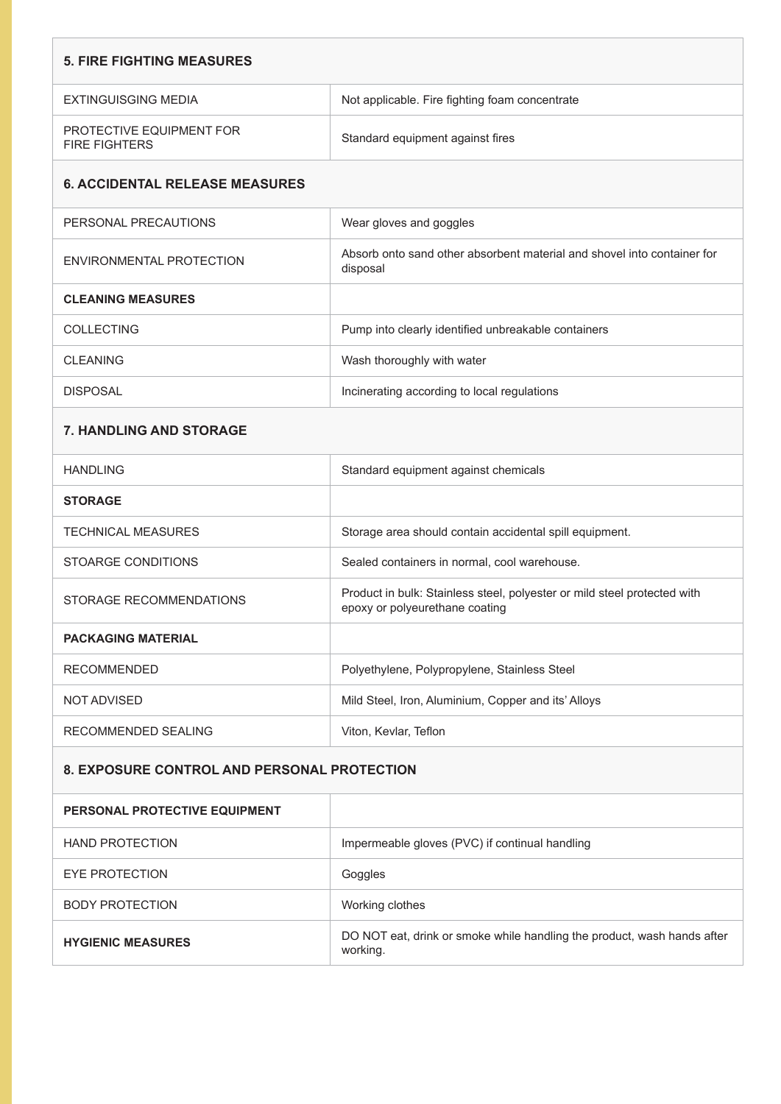| <b>5. FIRE FIGHTING MEASURES</b>                   |                                                                                                            |  |
|----------------------------------------------------|------------------------------------------------------------------------------------------------------------|--|
| EXTINGUISGING MEDIA                                | Not applicable. Fire fighting foam concentrate                                                             |  |
| PROTECTIVE EQUIPMENT FOR<br><b>FIRE FIGHTERS</b>   | Standard equipment against fires                                                                           |  |
| <b>6. ACCIDENTAL RELEASE MEASURES</b>              |                                                                                                            |  |
| PERSONAL PRECAUTIONS                               | Wear gloves and goggles                                                                                    |  |
| ENVIRONMENTAL PROTECTION                           | Absorb onto sand other absorbent material and shovel into container for<br>disposal                        |  |
| <b>CLEANING MEASURES</b>                           |                                                                                                            |  |
| <b>COLLECTING</b>                                  | Pump into clearly identified unbreakable containers                                                        |  |
| <b>CLEANING</b>                                    | Wash thoroughly with water                                                                                 |  |
| <b>DISPOSAL</b>                                    | Incinerating according to local regulations                                                                |  |
| <b>7. HANDLING AND STORAGE</b>                     |                                                                                                            |  |
| <b>HANDLING</b>                                    | Standard equipment against chemicals                                                                       |  |
| <b>STORAGE</b>                                     |                                                                                                            |  |
| <b>TECHNICAL MEASURES</b>                          | Storage area should contain accidental spill equipment.                                                    |  |
| <b>STOARGE CONDITIONS</b>                          | Sealed containers in normal, cool warehouse.                                                               |  |
| STORAGE RECOMMENDATIONS                            | Product in bulk: Stainless steel, polyester or mild steel protected with<br>epoxy or polyeurethane coating |  |
| <b>PACKAGING MATERIAL</b>                          |                                                                                                            |  |
| <b>RECOMMENDED</b>                                 | Polyethylene, Polypropylene, Stainless Steel                                                               |  |
| <b>NOT ADVISED</b>                                 | Mild Steel, Iron, Aluminium, Copper and its' Alloys                                                        |  |
| RECOMMENDED SEALING                                | Viton, Kevlar, Teflon                                                                                      |  |
| <b>8. EXPOSURE CONTROL AND PERSONAL PROTECTION</b> |                                                                                                            |  |
| PERSONAL PROTECTIVE EQUIPMENT                      |                                                                                                            |  |
| <b>HAND PROTECTION</b>                             | Impermeable gloves (PVC) if continual handling                                                             |  |
| <b>EYE PROTECTION</b>                              | Goggles                                                                                                    |  |
| <b>BODY PROTECTION</b>                             | Working clothes                                                                                            |  |
| <b>HYGIENIC MEASURES</b>                           | DO NOT eat, drink or smoke while handling the product, wash hands after<br>working.                        |  |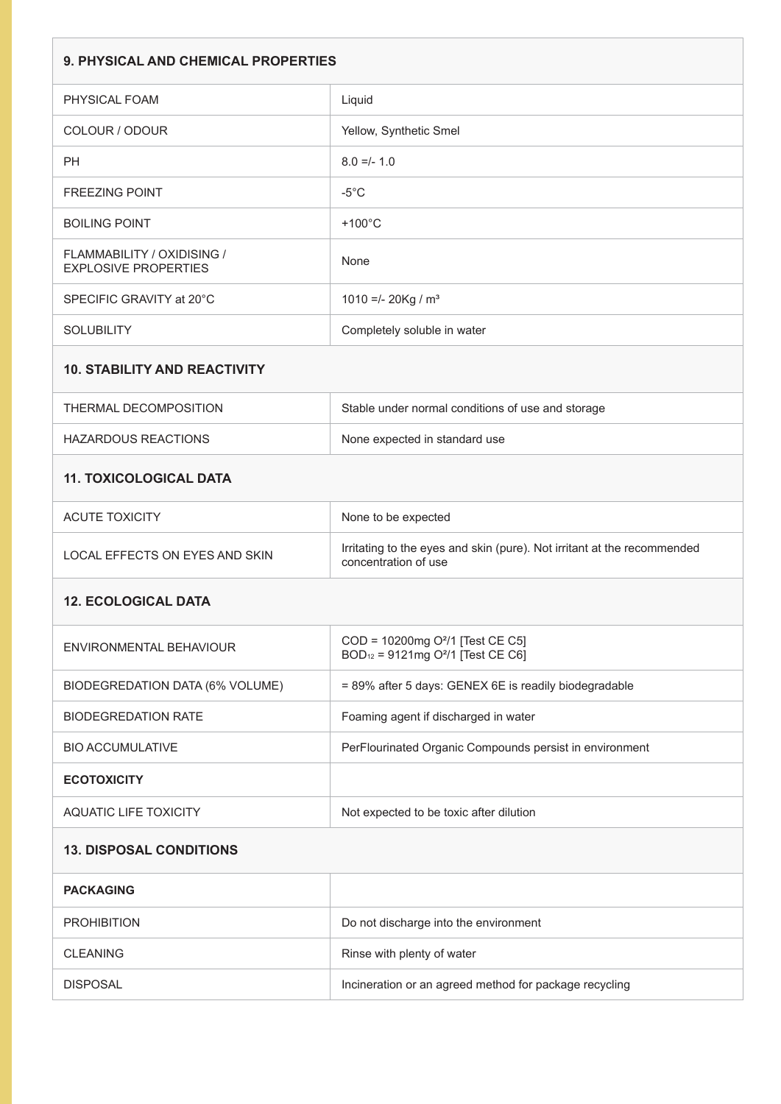| <b>9. PHYSICAL AND CHEMICAL PROPERTIES</b>                |                                                                                                           |  |
|-----------------------------------------------------------|-----------------------------------------------------------------------------------------------------------|--|
| PHYSICAL FOAM                                             | Liquid                                                                                                    |  |
| COLOUR / ODOUR                                            | Yellow, Synthetic Smel                                                                                    |  |
| <b>PH</b>                                                 | $8.0 =/- 1.0$                                                                                             |  |
| <b>FREEZING POINT</b>                                     | $-5^{\circ}$ C                                                                                            |  |
| <b>BOILING POINT</b>                                      | $+100^{\circ}$ C                                                                                          |  |
| FLAMMABILITY / OXIDISING /<br><b>EXPLOSIVE PROPERTIES</b> | None                                                                                                      |  |
| SPECIFIC GRAVITY at 20°C                                  | 1010 =/- 20Kg / $m3$                                                                                      |  |
| <b>SOLUBILITY</b>                                         | Completely soluble in water                                                                               |  |
| <b>10. STABILITY AND REACTIVITY</b>                       |                                                                                                           |  |
| THERMAL DECOMPOSITION                                     | Stable under normal conditions of use and storage                                                         |  |
| <b>HAZARDOUS REACTIONS</b>                                | None expected in standard use                                                                             |  |
| <b>11. TOXICOLOGICAL DATA</b>                             |                                                                                                           |  |
| <b>ACUTE TOXICITY</b>                                     | None to be expected                                                                                       |  |
| <b>LOCAL EFFECTS ON EYES AND SKIN</b>                     | Irritating to the eyes and skin (pure). Not irritant at the recommended<br>concentration of use           |  |
| <b>12. ECOLOGICAL DATA</b>                                |                                                                                                           |  |
| ENVIRONMENTAL BEHAVIOUR                                   | COD = 10200mg O <sup>2</sup> /1 [Test CE C5]<br>BOD <sub>12</sub> = 9121mg O <sup>2</sup> /1 [Test CE C6] |  |
| BIODEGREDATION DATA (6% VOLUME)                           | = 89% after 5 days: GENEX 6E is readily biodegradable                                                     |  |
| <b>BIODEGREDATION RATE</b>                                | Foaming agent if discharged in water                                                                      |  |
| <b>BIO ACCUMULATIVE</b>                                   | PerFlourinated Organic Compounds persist in environment                                                   |  |
| <b>ECOTOXICITY</b>                                        |                                                                                                           |  |
| <b>AQUATIC LIFE TOXICITY</b>                              | Not expected to be toxic after dilution                                                                   |  |
| <b>13. DISPOSAL CONDITIONS</b>                            |                                                                                                           |  |
| <b>PACKAGING</b>                                          |                                                                                                           |  |
| <b>PROHIBITION</b>                                        | Do not discharge into the environment                                                                     |  |
| <b>CLEANING</b>                                           | Rinse with plenty of water                                                                                |  |
| <b>DISPOSAL</b>                                           | Incineration or an agreed method for package recycling                                                    |  |